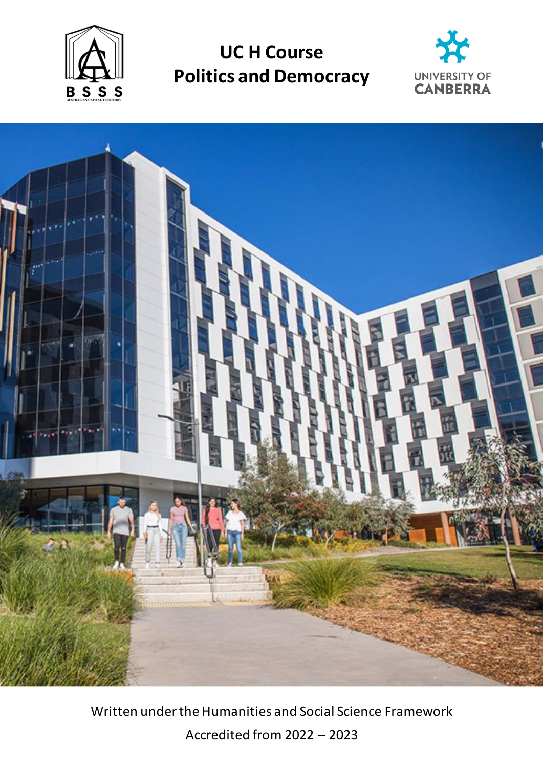

**UC H Course Politics and Democracy**





Written under the Humanities and Social Science Framework Accredited from 2022 – 2023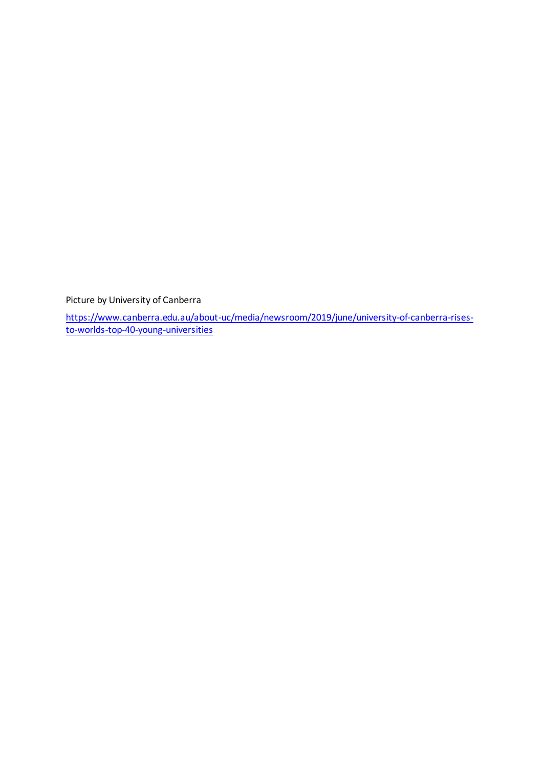Picture by University of Canberra

[https://www.canberra.edu.au/about-uc/media/newsroom/2019/june/university-of-canberra-rises](https://www.canberra.edu.au/about-uc/media/newsroom/2019/june/university-of-canberra-rises-to-worlds-top-40-young-universities)[to-worlds-top-40-young-universities](https://www.canberra.edu.au/about-uc/media/newsroom/2019/june/university-of-canberra-rises-to-worlds-top-40-young-universities)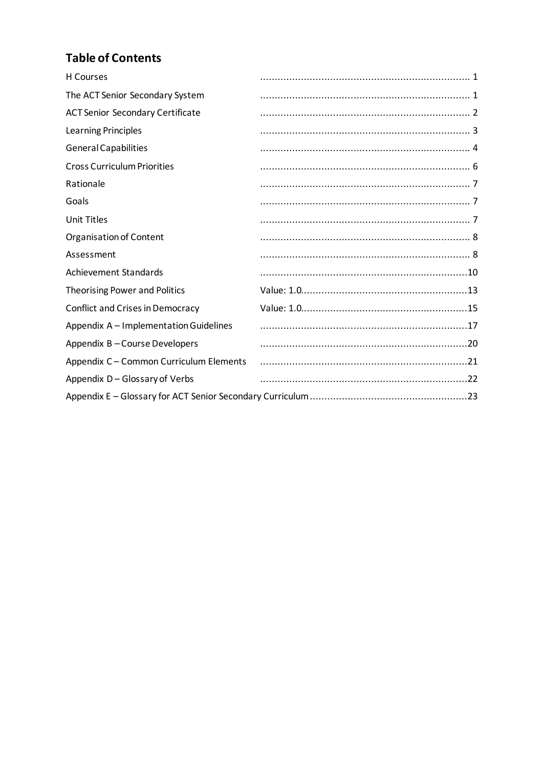## **Table of Contents**

| <b>H</b> Courses                        |  |
|-----------------------------------------|--|
| The ACT Senior Secondary System         |  |
| <b>ACT Senior Secondary Certificate</b> |  |
| <b>Learning Principles</b>              |  |
| <b>General Capabilities</b>             |  |
| <b>Cross Curriculum Priorities</b>      |  |
| Rationale                               |  |
| Goals                                   |  |
| <b>Unit Titles</b>                      |  |
| Organisation of Content                 |  |
| Assessment                              |  |
| <b>Achievement Standards</b>            |  |
| <b>Theorising Power and Politics</b>    |  |
| Conflict and Crises in Democracy        |  |
| Appendix A - Implementation Guidelines  |  |
| Appendix B-Course Developers            |  |
| Appendix C - Common Curriculum Elements |  |
| Appendix D - Glossary of Verbs          |  |
|                                         |  |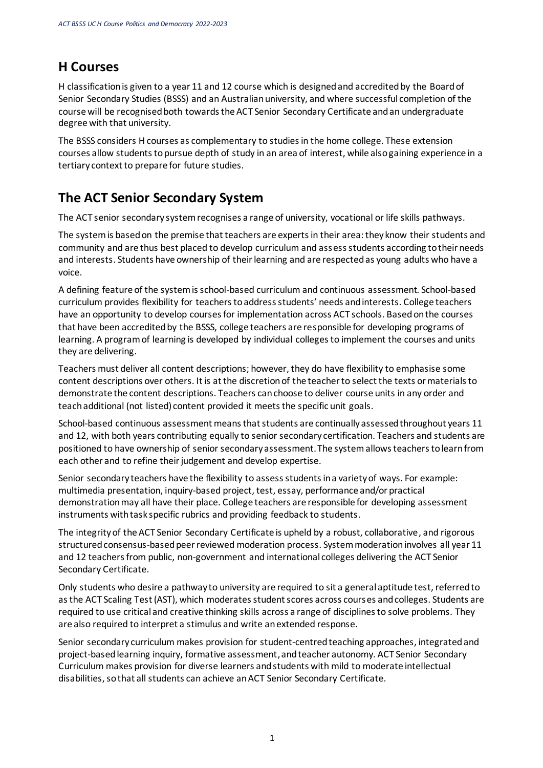## <span id="page-4-0"></span>**H Courses**

H classification is given to a year 11 and 12 course which is designed and accredited by the Board of Senior Secondary Studies (BSSS) and an Australian university, and where successful completion of the course will be recognised both towards the ACT Senior Secondary Certificate and an undergraduate degree with that university.

The BSSS considers H courses as complementary to studies in the home college. These extension courses allow students to pursue depth of study in an area of interest, while also gaining experience in a tertiary context to prepare for future studies.

## <span id="page-4-1"></span>**The ACT Senior Secondary System**

The ACT senior secondary system recognises a range of university, vocational or life skills pathways.

The system is based on the premise that teachers are experts in their area: they know their students and community and are thus best placed to develop curriculum and assess students according to their needs and interests. Students have ownership of their learning and are respected as young adults who have a voice.

A defining feature of the system is school-based curriculum and continuous assessment. School-based curriculum provides flexibility for teachers to address students' needs and interests. College teachers have an opportunity to develop courses for implementation across ACT schools. Based on the courses that have been accredited by the BSSS, college teachers are responsible for developing programs of learning. A program of learning is developed by individual colleges to implement the courses and units they are delivering.

Teachers must deliver all content descriptions; however, they do have flexibility to emphasise some content descriptions over others. It is at the discretion of the teacher to select the texts or materials to demonstrate the content descriptions. Teachers can choose to deliver course units in any order and teach additional (not listed) content provided it meets the specific unit goals.

School-based continuous assessment means that students are continually assessed throughout years 11 and 12, with both years contributing equally to senior secondary certification. Teachers and students are positioned to have ownership of senior secondary assessment. The system allows teachers to learn from each other and to refine their judgement and develop expertise.

Senior secondary teachers have the flexibility to assess students in a variety of ways. For example: multimedia presentation, inquiry-based project, test, essay, performance and/or practical demonstration may all have their place. College teachers are responsible for developing assessment instruments with task specific rubrics and providing feedback to students.

The integrity of the ACT Senior Secondary Certificate is upheld by a robust, collaborative, and rigorous structured consensus-based peer reviewed moderation process. System moderation involves all year 11 and 12 teachers from public, non-government and international colleges delivering the ACT Senior Secondary Certificate.

Only students who desire a pathway to university are required to sit a general aptitude test, referred to as the ACT Scaling Test (AST), which moderates student scores across courses and colleges. Students are required to use critical and creative thinking skills across a range of disciplines to solve problems. They are also required to interpret a stimulus and write an extended response.

Senior secondary curriculum makes provision for student-centred teaching approaches, integrated and project-based learning inquiry, formative assessment,and teacher autonomy. ACT Senior Secondary Curriculum makes provision for diverse learners and students with mild to moderate intellectual disabilities, so that all students can achieve an ACT Senior Secondary Certificate.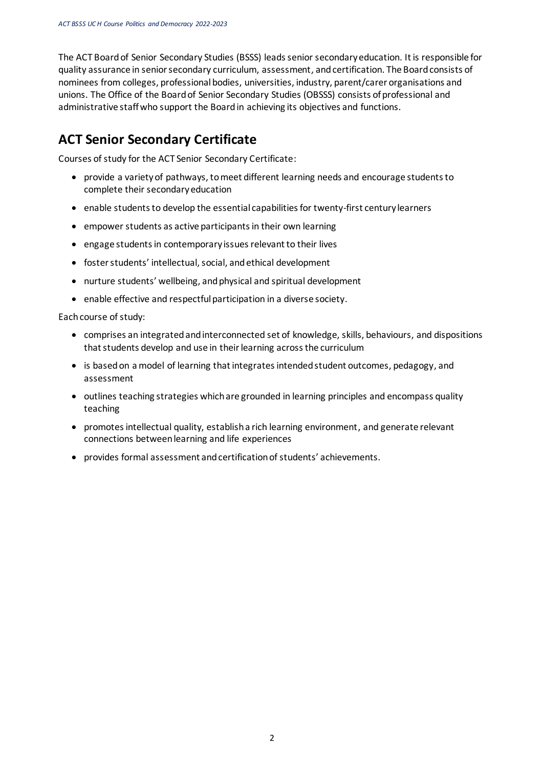The ACT Board of Senior Secondary Studies (BSSS) leads senior secondary education. It is responsible for quality assurance in senior secondary curriculum, assessment, and certification. The Board consists of nominees from colleges, professional bodies, universities, industry, parent/carer organisations and unions. The Office of the Board of Senior Secondary Studies (OBSSS) consists of professional and administrative staff who support the Board in achieving its objectives and functions.

## <span id="page-5-0"></span>**ACT Senior Secondary Certificate**

Courses of study for the ACT Senior Secondary Certificate:

- provide a variety of pathways, to meet different learning needs and encourage students to complete their secondary education
- enable students to develop the essential capabilities for twenty-first century learners
- empower students as active participants in their own learning
- engage students in contemporary issues relevant to their lives
- foster students' intellectual, social, and ethical development
- nurture students' wellbeing, and physical and spiritual development
- enable effective and respectful participation in a diverse society.

Each course of study:

- comprises an integrated and interconnected set of knowledge, skills, behaviours, and dispositions that students develop and use in their learning across the curriculum
- is based on a model of learning that integrates intended student outcomes, pedagogy, and assessment
- outlines teaching strategies which are grounded in learning principles and encompass quality teaching
- promotesintellectual quality, establish a rich learning environment, and generate relevant connections between learning and life experiences
- provides formal assessment and certification of students' achievements.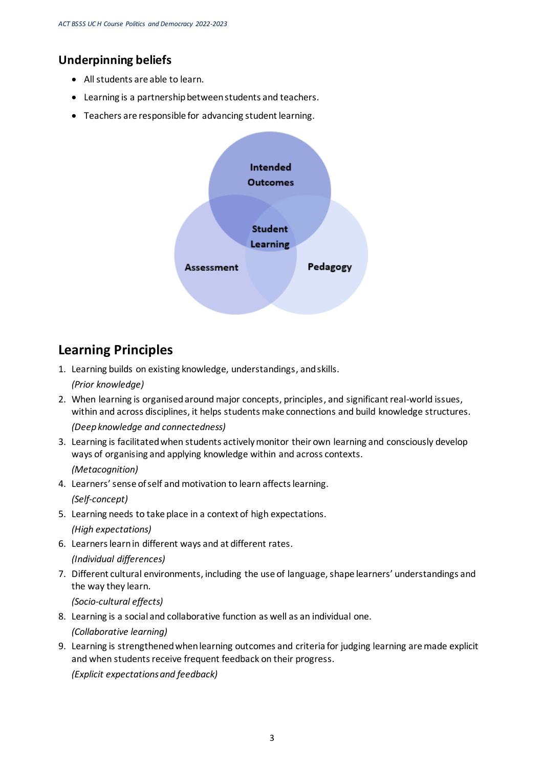### **Underpinning beliefs**

- All students are able to learn.
- Learning is a partnership between students and teachers.
- Teachers are responsible for advancing student learning.



## <span id="page-6-0"></span>**Learning Principles**

- 1. Learning builds on existing knowledge, understandings, and skills. *(Prior knowledge)*
- 2. When learning is organised around major concepts, principles, and significant real-world issues, within and across disciplines, it helps students make connections and build knowledge structures. *(Deep knowledge and connectedness)*
- 3. Learning is facilitated when students actively monitor their own learning and consciously develop ways of organising and applying knowledge within and across contexts. *(Metacognition)*
- 4. Learners' sense of self and motivation to learn affects learning. *(Self-concept)*
- 5. Learning needs to take place in a context of high expectations. *(High expectations)*
- 6. Learners learn in different ways and at different rates.
	- *(Individual differences)*
- 7. Different cultural environments, including the use of language, shape learners' understandings and the way they learn.

*(Socio-cultural effects)*

8. Learning is a social and collaborative function as well as an individual one.

*(Collaborative learning)*

9. Learning is strengthened when learning outcomes and criteria for judging learning are made explicit and when students receive frequent feedback on their progress.

*(Explicit expectations and feedback)*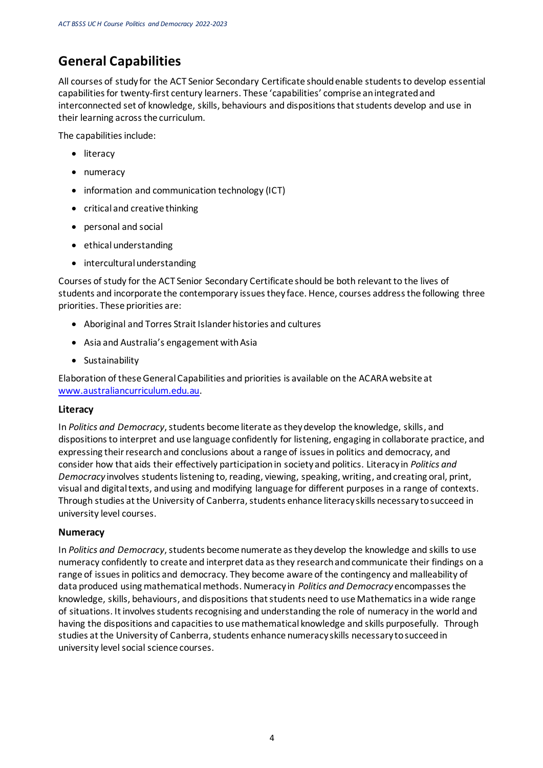## <span id="page-7-0"></span>**General Capabilities**

All courses of study for the ACT Senior Secondary Certificate should enable students to develop essential capabilities for twenty-first century learners. These 'capabilities' comprise an integrated and interconnected set of knowledge, skills, behaviours and dispositions that students develop and use in their learning across the curriculum.

The capabilities include:

- literacy
- numeracy
- information and communication technology (ICT)
- critical and creative thinking
- personal and social
- ethical understanding
- intercultural understanding

Courses of study for the ACT Senior Secondary Certificate should be both relevant to the lives of students and incorporate the contemporary issues they face. Hence, courses address the following three priorities. These priorities are:

- Aboriginal and Torres Strait Islander histories and cultures
- Asia and Australia's engagement with Asia
- Sustainability

Elaboration of these General Capabilities and priorities is available on the ACARA website at [www.australiancurriculum.edu.au](http://www.australiancurriculum.edu.au/).

#### **Literacy**

In *Politics and Democracy*, students become literate as they develop the knowledge, skills, and dispositions to interpret and use language confidently for listening, engaging in collaborate practice, and expressing their research and conclusions about a range of issues in politics and democracy, and consider how that aids their effectively participation in society and politics. Literacy in *Politics and Democracy* involves students listening to, reading, viewing, speaking, writing, and creating oral, print, visual and digital texts, and using and modifying language for different purposes in a range of contexts. Through studies at the University of Canberra, students enhance literacy skills necessary to succeed in university level courses.

#### **Numeracy**

In *Politics and Democracy*, students become numerate as they develop the knowledge and skills to use numeracy confidently to create and interpret data as they research and communicate their findings on a range of issues in politics and democracy. They become aware of the contingency and malleability of data produced using mathematical methods. Numeracy in *Politics and Democracy* encompasses the knowledge, skills, behaviours, and dispositions that students need to use Mathematics in a wide range of situations. It involves students recognising and understanding the role of numeracy in the world and having the dispositions and capacities to use mathematical knowledge and skills purposefully. Through studies at the University of Canberra, students enhance numeracy skills necessary to succeed in university level social science courses.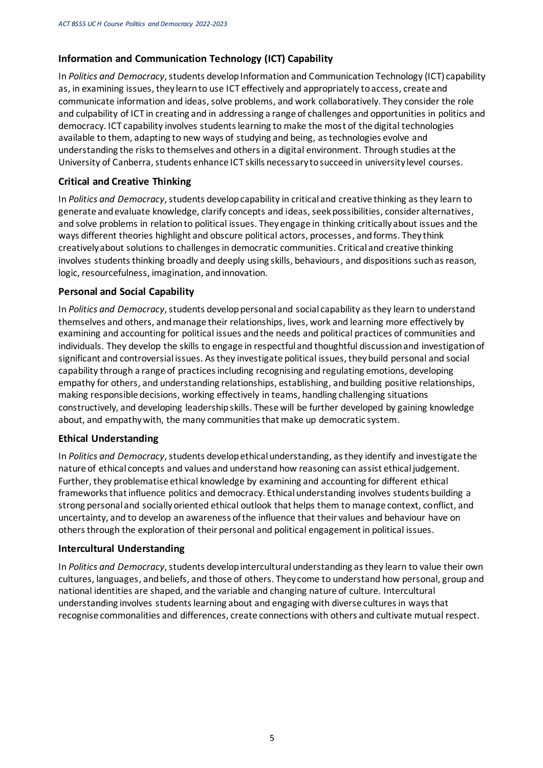#### **Information and Communication Technology (ICT) Capability**

In *Politics and Democracy*, students develop Information and Communication Technology (ICT) capability as, in examining issues, they learn to use ICT effectively and appropriately to access, create and communicate information and ideas, solve problems, and work collaboratively. They consider the role and culpability of ICT in creating and in addressing a range of challenges and opportunities in politics and democracy. ICT capability involves students learning to make the most of the digital technologies available to them, adapting to new ways of studying and being, as technologies evolve and understanding the risks to themselves and others in a digital environment. Through studies at the University of Canberra, students enhance ICT skills necessary to succeed in university level courses.

#### **Critical and Creative Thinking**

In *Politics and Democracy*, students develop capability in critical and creative thinking as they learn to generate and evaluate knowledge, clarify concepts and ideas, seek possibilities, consider alternatives, and solve problems in relation to political issues. They engage in thinking critically about issues and the ways different theories highlight and obscure political actors, processes, and forms. They think creatively about solutions to challenges in democratic communities. Critical and creative thinking involves students thinking broadly and deeply using skills, behaviours, and dispositions such as reason, logic, resourcefulness, imagination, and innovation.

#### **Personal and Social Capability**

In *Politics and Democracy*, students develop personal and social capability as they learn to understand themselves and others, and manage their relationships, lives, work and learning more effectively by examining and accounting for political issues and the needs and political practices of communities and individuals. They develop the skills to engage in respectful and thoughtful discussion and investigation of significant and controversial issues. As they investigate political issues, they build personal and social capability through a range of practices including recognising and regulating emotions, developing empathy for others, and understanding relationships, establishing, and building positive relationships, making responsible decisions, working effectively in teams, handling challenging situations constructively, and developing leadership skills. These will be further developed by gaining knowledge about, and empathy with, the many communities that make up democratic system.

#### **Ethical Understanding**

In *Politics and Democracy*, students develop ethical understanding, as they identify and investigate the nature of ethical concepts and values and understand how reasoning can assist ethical judgement. Further, they problematise ethical knowledge by examining and accounting for different ethical frameworks that influence politics and democracy. Ethical understanding involves students building a strong personal and socially oriented ethical outlook that helps them to manage context, conflict, and uncertainty, and to develop an awareness of the influence that their values and behaviour have on others through the exploration of their personal and political engagement in political issues.

#### **Intercultural Understanding**

In *Politics and Democracy*, students develop intercultural understanding as they learn to value their own cultures, languages, and beliefs, and those of others. They come to understand how personal, group and national identities are shaped, and the variable and changing nature of culture. Intercultural understanding involves students learning about and engaging with diverse cultures in ways that recognise commonalities and differences, create connections with others and cultivate mutual respect.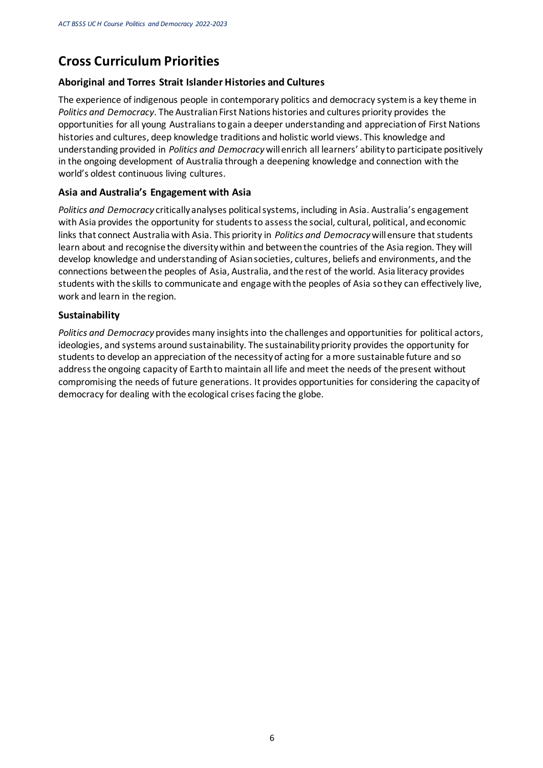### <span id="page-9-0"></span>**Cross Curriculum Priorities**

#### **Aboriginal and Torres Strait Islander Histories and Cultures**

The experience of indigenous people in contemporary politics and democracy system is a key theme in *Politics and Democracy*. The Australian First Nations histories and cultures priority provides the opportunities for all young Australians to gain a deeper understanding and appreciation of First Nations histories and cultures, deep knowledge traditions and holistic world views. This knowledge and understanding provided in *Politics and Democracy* will enrich all learners' ability to participate positively in the ongoing development of Australia through a deepening knowledge and connection with the world's oldest continuous living cultures.

#### **Asia and Australia's Engagement with Asia**

*Politics and Democracy* critically analyses political systems, including in Asia. Australia's engagement with Asia provides the opportunity for students to assess the social, cultural, political, and economic links that connect Australia with Asia. This priority in *Politics and Democracy*will ensure that students learn about and recognise the diversity within and between the countries of the Asia region. They will develop knowledge and understanding of Asian societies, cultures, beliefs and environments, and the connections between the peoples of Asia, Australia, and the rest of the world. Asia literacy provides students with the skills to communicate and engage with the peoples of Asia so they can effectively live, work and learn in the region.

#### **Sustainability**

*Politics and Democracy* provides many insights into the challenges and opportunities for political actors, ideologies, and systems around sustainability. The sustainability priority provides the opportunity for students to develop an appreciation of the necessity of acting for a more sustainable future and so address the ongoing capacity of Earth to maintain all life and meet the needs of the present without compromising the needs of future generations. It provides opportunities for considering the capacity of democracy for dealing with the ecological crises facing the globe.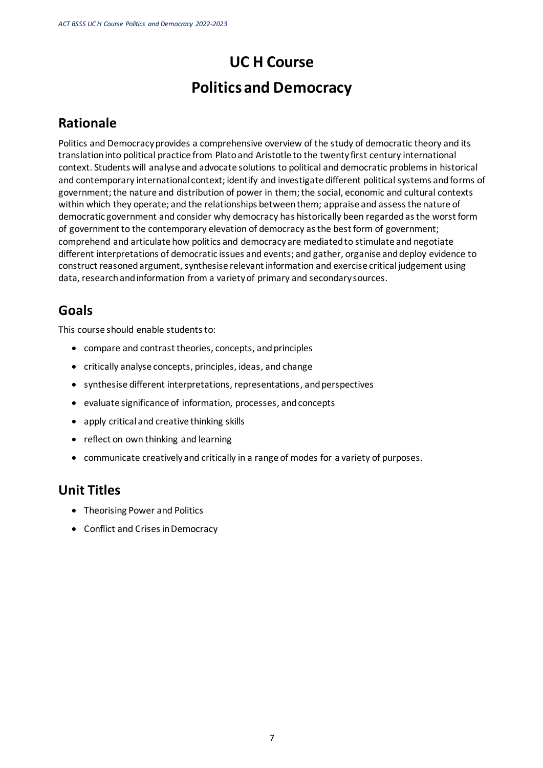# **UC H Course Politics and Democracy**

## <span id="page-10-0"></span>**Rationale**

Politics and Democracy provides a comprehensive overview of the study of democratic theory and its translation into political practice from Plato and Aristotle to the twenty first century international context. Students will analyse and advocate solutions to political and democratic problems in historical and contemporary international context; identify and investigate different political systems and forms of government; the nature and distribution of power in them; the social, economic and cultural contexts within which they operate; and the relationships between them; appraise and assess the nature of democratic government and consider why democracy has historically been regarded as the worst form of government to the contemporary elevation of democracy as the best form of government; comprehend and articulate how politics and democracy are mediated to stimulate and negotiate different interpretations of democratic issues and events; and gather, organise and deploy evidence to construct reasoned argument, synthesise relevant information and exercise critical judgement using data, research and information from a variety of primary and secondary sources.

## <span id="page-10-1"></span>**Goals**

This course should enable students to:

- compare and contrast theories, concepts, and principles
- critically analyse concepts, principles, ideas, and change
- synthesise different interpretations, representations, and perspectives
- evaluate significance of information, processes, and concepts
- apply critical and creative thinking skills
- reflect on own thinking and learning
- communicate creatively and critically in a range of modes for a variety of purposes.

### <span id="page-10-2"></span>**Unit Titles**

- Theorising Power and Politics
- Conflict and Crises in Democracy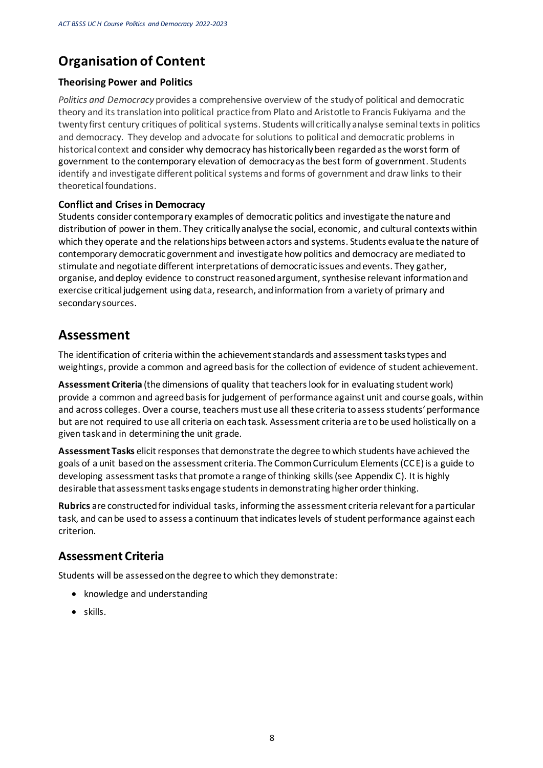## <span id="page-11-0"></span>**Organisation of Content**

#### **Theorising Power and Politics**

*Politics and Democracy* provides a comprehensive overview of the study of political and democratic theory and its translation into political practice from Plato and Aristotle to Francis Fukiyama and the twenty first century critiques of political systems. Students will critically analyse seminal texts in politics and democracy. They develop and advocate for solutions to political and democratic problems in historical context and consider why democracy has historically been regarded as the worst form of government to the contemporary elevation of democracy as the best form of government. Students identify and investigate different political systems and forms of government and draw links to their theoretical foundations.

#### **Conflict and Crises in Democracy**

Students consider contemporary examples of democratic politics and investigate the nature and distribution of power in them. They critically analyse the social, economic, and cultural contexts within which they operate and the relationships between actors and systems. Students evaluate the nature of contemporary democratic government and investigate how politics and democracy are mediated to stimulate and negotiate different interpretations of democratic issues and events. They gather, organise, and deploy evidence to construct reasoned argument, synthesise relevant information and exercise critical judgement using data, research, and information from a variety of primary and secondary sources.

### <span id="page-11-1"></span>**Assessment**

The identification of criteria within the achievement standards and assessment tasks types and weightings, provide a common and agreed basis for the collection of evidence of student achievement.

**Assessment Criteria** (the dimensions of quality that teachers look for in evaluating student work) provide a common and agreed basis for judgement of performance against unit and course goals, within and across colleges. Over a course, teachers must use all these criteria to assess students' performance but are not required to use all criteria on each task. Assessment criteria are to be used holistically on a given task and in determining the unit grade.

**Assessment Tasks** elicit responses that demonstrate the degree to which students have achieved the goals of a unit based on the assessment criteria. The Common Curriculum Elements (CCE) is a guide to developing assessment tasks that promote a range of thinking skills (see Appendix C). It is highly desirable that assessment tasks engage students in demonstrating higher order thinking.

**Rubrics** are constructed for individual tasks, informing the assessment criteria relevant for a particular task, and can be used to assess a continuum that indicates levels of student performance against each criterion.

### **Assessment Criteria**

Students will be assessed on the degree to which they demonstrate:

- knowledge and understanding
- skills.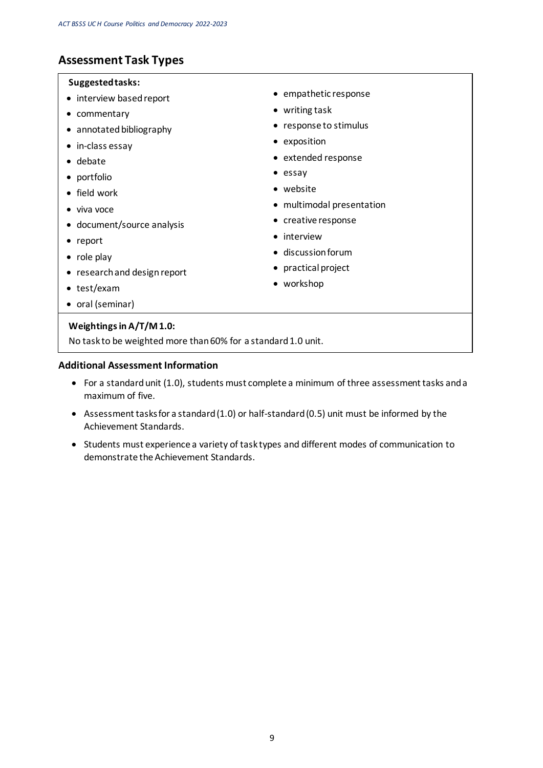### **Assessment Task Types**

#### **Suggested tasks:**

- interview based report
- commentary
- annotated bibliography
- in-class essay
- debate
- portfolio
- field work
- viva voce
- document/source analysis
- report
- role play
- research and design report
- test/exam
- oral (seminar)

#### **Weightings in A/T/M 1.0:**

No task to be weighted more than 60% for a standard 1.0 unit.

#### **Additional Assessment Information**

- For a standard unit (1.0), students must complete a minimum of three assessment tasks and a maximum of five.
- Assessment tasks for a standard (1.0) or half-standard (0.5) unit must be informed by the Achievement Standards.
- Students must experience a variety of task types and different modes of communication to demonstrate the Achievement Standards.
- empathetic response
- writing task
- response to stimulus
- exposition
- extended response
- essay
- website
- multimodal presentation
- creative response
- interview
- discussion forum
- practical project
- workshop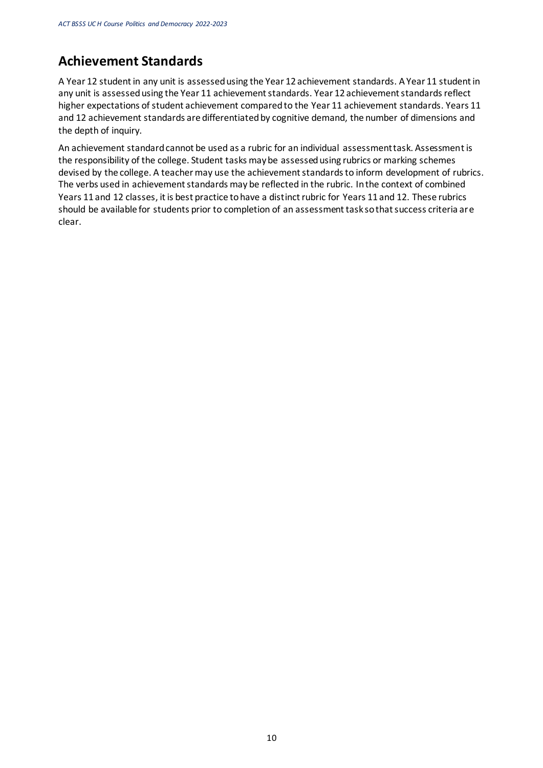## <span id="page-13-0"></span>**Achievement Standards**

A Year 12 student in any unit is assessed using the Year 12 achievement standards. A Year 11 student in any unit is assessed using the Year 11 achievement standards. Year 12 achievement standards reflect higher expectations of student achievement compared to the Year 11 achievement standards. Years 11 and 12 achievement standards are differentiated by cognitive demand, the number of dimensions and the depth of inquiry.

An achievement standard cannot be used as a rubric for an individual assessment task. Assessment is the responsibility of the college. Student tasks may be assessed using rubrics or marking schemes devised by the college. A teacher may use the achievement standards to inform development of rubrics. The verbs used in achievement standards may be reflected in the rubric. In the context of combined Years 11 and 12 classes, it is best practice to have a distinct rubric for Years 11 and 12. These rubrics should be available for students prior to completion of an assessment task so that success criteria are clear.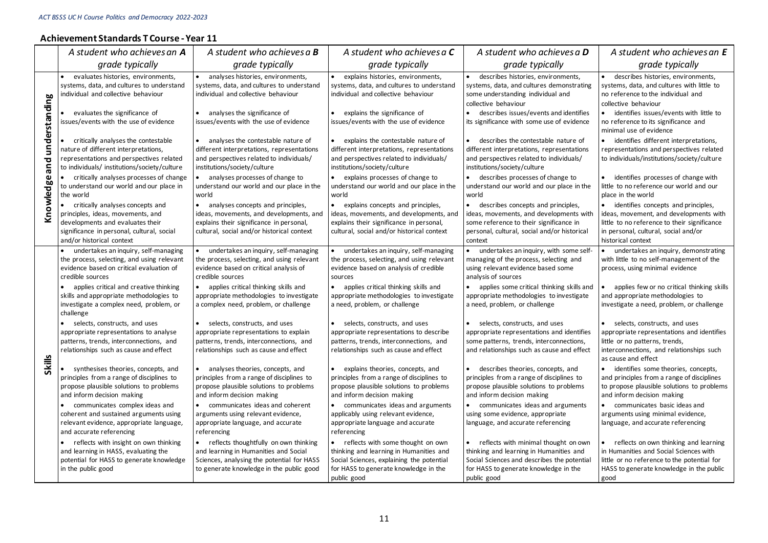#### **Achievement Standards T Course -Year 11**

|               | A student who achieves an A                                                                                                                                                                                                                                                                                                                                                                                                                                                                                                                                                                                                                                                                                                                                                                                                                                                                                                                 | A student who achieves a <b>B</b>                                                                                                                                                                                                                                                                                                                                                                                                                                                                                                                                                                                                                                                                                                                                                                                                                                               | A student who achieves a C                                                                                                                                                                                                                                                                                                                                                                                                                                                                                                                                                                                                                                                                                                                                                                                                                                    | A student who achieves a <b>D</b>                                                                                                                                                                                                                                                                                                                                                                                                                                                                                                                                                                                                                                                                                                                                                                                                                                                | A student who achieves an E                                                                                                                                                                                                                                                                                                                                                                                                                                                                                                                                                                                                                                                                                                                                                                                                                                               |
|---------------|---------------------------------------------------------------------------------------------------------------------------------------------------------------------------------------------------------------------------------------------------------------------------------------------------------------------------------------------------------------------------------------------------------------------------------------------------------------------------------------------------------------------------------------------------------------------------------------------------------------------------------------------------------------------------------------------------------------------------------------------------------------------------------------------------------------------------------------------------------------------------------------------------------------------------------------------|---------------------------------------------------------------------------------------------------------------------------------------------------------------------------------------------------------------------------------------------------------------------------------------------------------------------------------------------------------------------------------------------------------------------------------------------------------------------------------------------------------------------------------------------------------------------------------------------------------------------------------------------------------------------------------------------------------------------------------------------------------------------------------------------------------------------------------------------------------------------------------|---------------------------------------------------------------------------------------------------------------------------------------------------------------------------------------------------------------------------------------------------------------------------------------------------------------------------------------------------------------------------------------------------------------------------------------------------------------------------------------------------------------------------------------------------------------------------------------------------------------------------------------------------------------------------------------------------------------------------------------------------------------------------------------------------------------------------------------------------------------|----------------------------------------------------------------------------------------------------------------------------------------------------------------------------------------------------------------------------------------------------------------------------------------------------------------------------------------------------------------------------------------------------------------------------------------------------------------------------------------------------------------------------------------------------------------------------------------------------------------------------------------------------------------------------------------------------------------------------------------------------------------------------------------------------------------------------------------------------------------------------------|---------------------------------------------------------------------------------------------------------------------------------------------------------------------------------------------------------------------------------------------------------------------------------------------------------------------------------------------------------------------------------------------------------------------------------------------------------------------------------------------------------------------------------------------------------------------------------------------------------------------------------------------------------------------------------------------------------------------------------------------------------------------------------------------------------------------------------------------------------------------------|
|               | grade typically                                                                                                                                                                                                                                                                                                                                                                                                                                                                                                                                                                                                                                                                                                                                                                                                                                                                                                                             | grade typically                                                                                                                                                                                                                                                                                                                                                                                                                                                                                                                                                                                                                                                                                                                                                                                                                                                                 | grade typically                                                                                                                                                                                                                                                                                                                                                                                                                                                                                                                                                                                                                                                                                                                                                                                                                                               | grade typically                                                                                                                                                                                                                                                                                                                                                                                                                                                                                                                                                                                                                                                                                                                                                                                                                                                                  | grade typically                                                                                                                                                                                                                                                                                                                                                                                                                                                                                                                                                                                                                                                                                                                                                                                                                                                           |
| understanding | evaluates histories, environments,<br>$\bullet$<br>systems, data, and cultures to understand<br>individual and collective behaviour<br>evaluates the significance of                                                                                                                                                                                                                                                                                                                                                                                                                                                                                                                                                                                                                                                                                                                                                                        | analyses histories, environments,<br>systems, data, and cultures to understand<br>individual and collective behaviour<br>analyses the significance of                                                                                                                                                                                                                                                                                                                                                                                                                                                                                                                                                                                                                                                                                                                           | explains histories, environments,<br>systems, data, and cultures to understand<br>individual and collective behaviour<br>explains the significance of                                                                                                                                                                                                                                                                                                                                                                                                                                                                                                                                                                                                                                                                                                         | describes histories, environments,<br>systems, data, and cultures demonstrating<br>some understanding individual and<br>collective behaviour<br>$\bullet$<br>describes issues/events and identifies                                                                                                                                                                                                                                                                                                                                                                                                                                                                                                                                                                                                                                                                              | · describes histories, environments,<br>systems, data, and cultures with little to<br>no reference to the individual and<br>collective behaviour<br>identifies issues/events with little to<br>$\bullet$                                                                                                                                                                                                                                                                                                                                                                                                                                                                                                                                                                                                                                                                  |
|               | issues/events with the use of evidence                                                                                                                                                                                                                                                                                                                                                                                                                                                                                                                                                                                                                                                                                                                                                                                                                                                                                                      | issues/events with the use of evidence                                                                                                                                                                                                                                                                                                                                                                                                                                                                                                                                                                                                                                                                                                                                                                                                                                          | issues/events with the use of evidence                                                                                                                                                                                                                                                                                                                                                                                                                                                                                                                                                                                                                                                                                                                                                                                                                        | its significance with some use of evidence                                                                                                                                                                                                                                                                                                                                                                                                                                                                                                                                                                                                                                                                                                                                                                                                                                       | no reference to its significance and<br>minimal use of evidence                                                                                                                                                                                                                                                                                                                                                                                                                                                                                                                                                                                                                                                                                                                                                                                                           |
| and           | critically analyses the contestable<br>$\bullet$<br>nature of different interpretations,<br>representations and perspectives related<br>to individuals/ institutions/society/culture                                                                                                                                                                                                                                                                                                                                                                                                                                                                                                                                                                                                                                                                                                                                                        | • analyses the contestable nature of<br>different interpretations, representations<br>and perspectives related to individuals/<br>institutions/society/culture                                                                                                                                                                                                                                                                                                                                                                                                                                                                                                                                                                                                                                                                                                                  | explains the contestable nature of<br>different interpretations, representations<br>and perspectives related to individuals/<br>institutions/society/culture                                                                                                                                                                                                                                                                                                                                                                                                                                                                                                                                                                                                                                                                                                  | • describes the contestable nature of<br>different interpretations, representations<br>and perspectives related to individuals/<br>institutions/society/culture                                                                                                                                                                                                                                                                                                                                                                                                                                                                                                                                                                                                                                                                                                                  | identifies different interpretations,<br>representations and perspectives related<br>to individuals/institutions/society/culture                                                                                                                                                                                                                                                                                                                                                                                                                                                                                                                                                                                                                                                                                                                                          |
| $\mathbf{Q}$  | critically analyses processes of change<br>to understand our world and our place in<br>the world                                                                                                                                                                                                                                                                                                                                                                                                                                                                                                                                                                                                                                                                                                                                                                                                                                            | analyses processes of change to<br>understand our world and our place in the<br>world                                                                                                                                                                                                                                                                                                                                                                                                                                                                                                                                                                                                                                                                                                                                                                                           | • explains processes of change to<br>understand our world and our place in the<br>world                                                                                                                                                                                                                                                                                                                                                                                                                                                                                                                                                                                                                                                                                                                                                                       | • describes processes of change to<br>understand our world and our place in the<br>world                                                                                                                                                                                                                                                                                                                                                                                                                                                                                                                                                                                                                                                                                                                                                                                         | • identifies processes of change with<br>little to no reference our world and our<br>place in the world                                                                                                                                                                                                                                                                                                                                                                                                                                                                                                                                                                                                                                                                                                                                                                   |
| Knowledg      | • critically analyses concepts and<br>principles, ideas, movements, and<br>developments and evaluates their<br>significance in personal, cultural, social<br>and/or historical context                                                                                                                                                                                                                                                                                                                                                                                                                                                                                                                                                                                                                                                                                                                                                      | • analyses concepts and principles,<br>ideas, movements, and developments, and<br>explains their significance in personal,<br>cultural, social and/or historical context                                                                                                                                                                                                                                                                                                                                                                                                                                                                                                                                                                                                                                                                                                        | • explains concepts and principles,<br>ideas, movements, and developments, and<br>explains their significance in personal,<br>cultural, social and/or historical context                                                                                                                                                                                                                                                                                                                                                                                                                                                                                                                                                                                                                                                                                      | • describes concepts and principles,<br>ideas, movements, and developments with<br>some reference to their significance in<br>personal, cultural, social and/or historical<br>context                                                                                                                                                                                                                                                                                                                                                                                                                                                                                                                                                                                                                                                                                            | • identifies concepts and principles,<br>ideas, movement, and developments with<br>little to no reference to their significance<br>in personal, cultural, social and/or<br>historical context                                                                                                                                                                                                                                                                                                                                                                                                                                                                                                                                                                                                                                                                             |
| Skills        | undertakes an inquiry, self-managing<br>the process, selecting, and using relevant<br>evidence based on critical evaluation of<br>credible sources<br>applies critical and creative thinking<br>skills and appropriate methodologies to<br>investigate a complex need, problem, or<br>challenge<br>• selects, constructs, and uses<br>appropriate representations to analyse<br>patterns, trends, interconnections, and<br>relationships such as cause and effect<br>• synthesises theories, concepts, and<br>principles from a range of disciplines to<br>propose plausible solutions to problems<br>and inform decision making<br>communicates complex ideas and<br>$\bullet$<br>coherent and sustained arguments using<br>relevant evidence, appropriate language,<br>and accurate referencing<br>reflects with insight on own thinking<br>$\bullet$<br>and learning in HASS, evaluating the<br>potential for HASS to generate knowledge | • undertakes an inquiry, self-managing<br>the process, selecting, and using relevant<br>evidence based on critical analysis of<br>credible sources<br>• applies critical thinking skills and<br>appropriate methodologies to investigate<br>a complex need, problem, or challenge<br>• selects, constructs, and uses<br>appropriate representations to explain<br>patterns, trends, interconnections, and<br>relationships such as cause and effect<br>• analyses theories, concepts, and<br>principles from a range of disciplines to<br>propose plausible solutions to problems<br>and inform decision making<br>• communicates ideas and coherent<br>arguments using relevant evidence,<br>appropriate language, and accurate<br>referencing<br>reflects thoughtfully on own thinking<br>and learning in Humanities and Social<br>Sciences, analysing the potential for HASS | undertakes an inquiry, self-managing<br>the process, selecting, and using relevant<br>evidence based on analysis of credible<br>sources<br>• applies critical thinking skills and<br>appropriate methodologies to investigate<br>a need, problem, or challenge<br>• selects, constructs, and uses<br>appropriate representations to describe<br>patterns, trends, interconnections, and<br>relationships such as cause and effect<br>• explains theories, concepts, and<br>principles from a range of disciplines to<br>propose plausible solutions to problems<br>and inform decision making<br>• communicates ideas and arguments<br>applicably using relevant evidence,<br>appropriate language and accurate<br>referencing<br>• reflects with some thought on own<br>thinking and learning in Humanities and<br>Social Sciences, explaining the potential | undertakes an inquiry, with some self-<br>$\bullet$<br>managing of the process, selecting and<br>using relevant evidence based some<br>analysis of sources<br>• applies some critical thinking skills and<br>appropriate methodologies to investigate<br>a need, problem, or challenge<br>• selects, constructs, and uses<br>appropriate representations and identifies<br>some patterns, trends, interconnections,<br>and relationships such as cause and effect<br>• describes theories, concepts, and<br>principles from a range of disciplines to<br>propose plausible solutions to problems<br>and inform decision making<br>• communicates ideas and arguments<br>using some evidence, appropriate<br>language, and accurate referencing<br>reflects with minimal thought on own<br>thinking and learning in Humanities and<br>Social Sciences and describes the potential | • undertakes an inquiry, demonstrating<br>with little to no self-management of the<br>process, using minimal evidence<br>applies few or no critical thinking skills<br>$\bullet$<br>and appropriate methodologies to<br>investigate a need, problem, or challenge<br>• selects, constructs, and uses<br>appropriate representations and identifies<br>little or no patterns, trends,<br>interconnections, and relationships such<br>as cause and effect<br>• identifies some theories, concepts,<br>and principles from a range of disciplines<br>to propose plausible solutions to problems<br>and inform decision making<br>• communicates basic ideas and<br>arguments using minimal evidence,<br>language, and accurate referencing<br>reflects on own thinking and learning<br>in Humanities and Social Sciences with<br>little or no reference to the potential for |
|               | in the public good                                                                                                                                                                                                                                                                                                                                                                                                                                                                                                                                                                                                                                                                                                                                                                                                                                                                                                                          | to generate knowledge in the public good                                                                                                                                                                                                                                                                                                                                                                                                                                                                                                                                                                                                                                                                                                                                                                                                                                        | for HASS to generate knowledge in the<br>public good                                                                                                                                                                                                                                                                                                                                                                                                                                                                                                                                                                                                                                                                                                                                                                                                          | for HASS to generate knowledge in the<br>public good                                                                                                                                                                                                                                                                                                                                                                                                                                                                                                                                                                                                                                                                                                                                                                                                                             | HASS to generate knowledge in the public<br>good                                                                                                                                                                                                                                                                                                                                                                                                                                                                                                                                                                                                                                                                                                                                                                                                                          |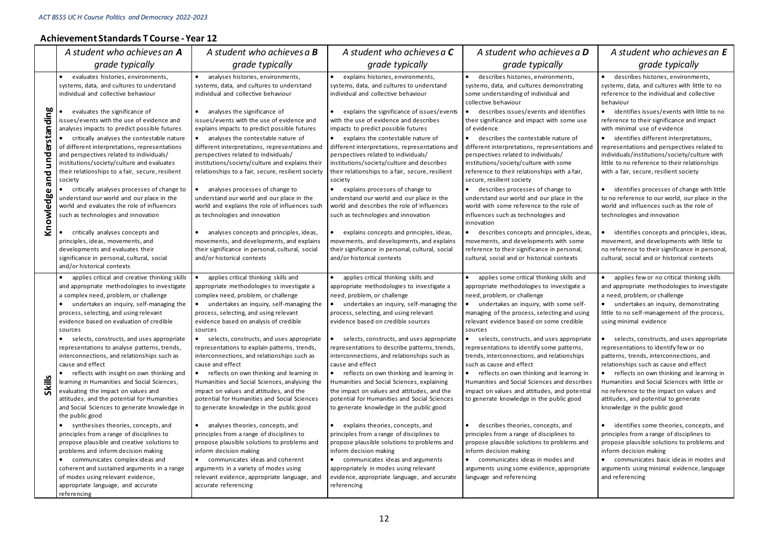#### **Achievement Standards T Course -Year 12**

|                          | A student who achieves an <b>A</b>                                                                                                                                                                                                                                                                                                                                                                                                                                                                                                                                                                                                                                                                                                                                                                                                                                                                                                                                                                                                                                                              | A student who achieves a <b>B</b>                                                                                                                                                                                                                                                                                                                                                                                                                                                                                                                                                                                                                                                                                                                                                                                                                                                                                                                                                                                      | A student who achieves a <b>C</b>                                                                                                                                                                                                                                                                                                                                                                                                                                                                                                                                                                                                                                                                                                                                                                                                                                                                                                                                            | A student who achieves a <b>D</b>                                                                                                                                                                                                                                                                                                                                                                                                                                                                                                                                                                                                                                                                                                                                                                                                                                                                                                          | A student who achieves an E                                                                                                                                                                                                                                                                                                                                                                                                                                                                                                                                                                                                                                                                                                                                                                                                                                                                                                      |
|--------------------------|-------------------------------------------------------------------------------------------------------------------------------------------------------------------------------------------------------------------------------------------------------------------------------------------------------------------------------------------------------------------------------------------------------------------------------------------------------------------------------------------------------------------------------------------------------------------------------------------------------------------------------------------------------------------------------------------------------------------------------------------------------------------------------------------------------------------------------------------------------------------------------------------------------------------------------------------------------------------------------------------------------------------------------------------------------------------------------------------------|------------------------------------------------------------------------------------------------------------------------------------------------------------------------------------------------------------------------------------------------------------------------------------------------------------------------------------------------------------------------------------------------------------------------------------------------------------------------------------------------------------------------------------------------------------------------------------------------------------------------------------------------------------------------------------------------------------------------------------------------------------------------------------------------------------------------------------------------------------------------------------------------------------------------------------------------------------------------------------------------------------------------|------------------------------------------------------------------------------------------------------------------------------------------------------------------------------------------------------------------------------------------------------------------------------------------------------------------------------------------------------------------------------------------------------------------------------------------------------------------------------------------------------------------------------------------------------------------------------------------------------------------------------------------------------------------------------------------------------------------------------------------------------------------------------------------------------------------------------------------------------------------------------------------------------------------------------------------------------------------------------|--------------------------------------------------------------------------------------------------------------------------------------------------------------------------------------------------------------------------------------------------------------------------------------------------------------------------------------------------------------------------------------------------------------------------------------------------------------------------------------------------------------------------------------------------------------------------------------------------------------------------------------------------------------------------------------------------------------------------------------------------------------------------------------------------------------------------------------------------------------------------------------------------------------------------------------------|----------------------------------------------------------------------------------------------------------------------------------------------------------------------------------------------------------------------------------------------------------------------------------------------------------------------------------------------------------------------------------------------------------------------------------------------------------------------------------------------------------------------------------------------------------------------------------------------------------------------------------------------------------------------------------------------------------------------------------------------------------------------------------------------------------------------------------------------------------------------------------------------------------------------------------|
|                          | grade typically                                                                                                                                                                                                                                                                                                                                                                                                                                                                                                                                                                                                                                                                                                                                                                                                                                                                                                                                                                                                                                                                                 | grade typically                                                                                                                                                                                                                                                                                                                                                                                                                                                                                                                                                                                                                                                                                                                                                                                                                                                                                                                                                                                                        | grade typically                                                                                                                                                                                                                                                                                                                                                                                                                                                                                                                                                                                                                                                                                                                                                                                                                                                                                                                                                              | grade typically                                                                                                                                                                                                                                                                                                                                                                                                                                                                                                                                                                                                                                                                                                                                                                                                                                                                                                                            | grade typically                                                                                                                                                                                                                                                                                                                                                                                                                                                                                                                                                                                                                                                                                                                                                                                                                                                                                                                  |
|                          | $\bullet$<br>evaluates histories, environments,<br>systems, data, and cultures to understand<br>individual and collective behaviour                                                                                                                                                                                                                                                                                                                                                                                                                                                                                                                                                                                                                                                                                                                                                                                                                                                                                                                                                             | • analyses histories, environments,<br>systems, data, and cultures to understand<br>individual and collective behaviour                                                                                                                                                                                                                                                                                                                                                                                                                                                                                                                                                                                                                                                                                                                                                                                                                                                                                                | explains histories, environments,<br>systems, data, and cultures to understand<br>individual and collective behaviour                                                                                                                                                                                                                                                                                                                                                                                                                                                                                                                                                                                                                                                                                                                                                                                                                                                        | describes histories, environments,<br>systems, data, and cultures demonstrating<br>some understanding of individual and<br>collective behaviour                                                                                                                                                                                                                                                                                                                                                                                                                                                                                                                                                                                                                                                                                                                                                                                            | • describes histories, environments,<br>systems, data, and cultures with little to no<br>reference to the individual and collective<br>behaviour                                                                                                                                                                                                                                                                                                                                                                                                                                                                                                                                                                                                                                                                                                                                                                                 |
| understanding            | evaluates the significance of<br>issues/events with the use of evidence and<br>analyses impacts to predict possible futures<br>• critically analyses the contestable nature                                                                                                                                                                                                                                                                                                                                                                                                                                                                                                                                                                                                                                                                                                                                                                                                                                                                                                                     | • analyses the significance of<br>issues/events with the use of evidence and<br>explains impacts to predict possible futures<br>• analyses the contestable nature of                                                                                                                                                                                                                                                                                                                                                                                                                                                                                                                                                                                                                                                                                                                                                                                                                                                   | explains the significance of issues/events<br>with the use of evidence and describes<br>impacts to predict possible futures<br>• explains the contestable nature of                                                                                                                                                                                                                                                                                                                                                                                                                                                                                                                                                                                                                                                                                                                                                                                                          | describes issues/events and identifies<br>their significance and impact with some use<br>of evidence<br>• describes the contestable nature of                                                                                                                                                                                                                                                                                                                                                                                                                                                                                                                                                                                                                                                                                                                                                                                              | • identifies issues/events with little to no<br>reference to their significance and impact<br>with minimal use of evidence<br>• identifies different interpretations,                                                                                                                                                                                                                                                                                                                                                                                                                                                                                                                                                                                                                                                                                                                                                            |
| and                      | of different interpretations, representations<br>and perspectives related to individuals/<br>institutions/society/culture and evaluates<br>their relationships to a fair, secure, resilient<br>society                                                                                                                                                                                                                                                                                                                                                                                                                                                                                                                                                                                                                                                                                                                                                                                                                                                                                          | different interpretations, representations and<br>perspectives related to individuals/<br>institutions/society/culture and explains their<br>relationships to a fair, secure, resilient society                                                                                                                                                                                                                                                                                                                                                                                                                                                                                                                                                                                                                                                                                                                                                                                                                        | different interpretations, representations and<br>perspectives related to individuals/<br>institutions/society/culture and describes<br>their relationships to a fair, secure, resilient<br>society                                                                                                                                                                                                                                                                                                                                                                                                                                                                                                                                                                                                                                                                                                                                                                          | different interpretations, representations and<br>perspectives related to individuals/<br>institutions/society/culture with some<br>reference to their relationships with a fair,<br>secure, resilient society                                                                                                                                                                                                                                                                                                                                                                                                                                                                                                                                                                                                                                                                                                                             | representations and perspectives related to<br>individuals/institutions/society/culture with<br>little to no reference to their relationships<br>with a fair, secure, resilient society                                                                                                                                                                                                                                                                                                                                                                                                                                                                                                                                                                                                                                                                                                                                          |
| $\mathbf{Q}$<br>Knowledg | • critically analyses processes of change to<br>understand our world and our place in the<br>world and evaluates the role of influences<br>such as technologies and innovation                                                                                                                                                                                                                                                                                                                                                                                                                                                                                                                                                                                                                                                                                                                                                                                                                                                                                                                  | • analyses processes of change to<br>understand our world and our place in the<br>world and explains the role of influences such<br>as technologies and innovation                                                                                                                                                                                                                                                                                                                                                                                                                                                                                                                                                                                                                                                                                                                                                                                                                                                     | • explains processes of change to<br>understand our world and our place in the<br>world and describes the role of influences<br>such as technologies and innovation                                                                                                                                                                                                                                                                                                                                                                                                                                                                                                                                                                                                                                                                                                                                                                                                          | describes processes of change to<br>understand our world and our place in the<br>world with some reference to the role of<br>influences such as technologies and                                                                                                                                                                                                                                                                                                                                                                                                                                                                                                                                                                                                                                                                                                                                                                           | • identifies processes of change with little<br>to no reference to our world, our place in the<br>world and influences such as the role of<br>technologies and innovation                                                                                                                                                                                                                                                                                                                                                                                                                                                                                                                                                                                                                                                                                                                                                        |
|                          | • critically analyses concepts and<br>principles, ideas, movements, and<br>developments and evaluates their<br>significance in personal, cultural, social<br>and/or historical contexts                                                                                                                                                                                                                                                                                                                                                                                                                                                                                                                                                                                                                                                                                                                                                                                                                                                                                                         | analyses concepts and principles, ideas,<br>$\bullet$<br>movements, and developments, and explains<br>their significance in personal, cultural, social<br>and/or historical contexts                                                                                                                                                                                                                                                                                                                                                                                                                                                                                                                                                                                                                                                                                                                                                                                                                                   | explains concepts and principles, ideas,<br>movements, and developments, and explains<br>their significance in personal, cultural, social<br>and/or historical contexts                                                                                                                                                                                                                                                                                                                                                                                                                                                                                                                                                                                                                                                                                                                                                                                                      | innovation<br>describes concepts and principles, ideas,<br>movements, and developments with some<br>reference to their significance in personal,<br>cultural, social and or historical contexts                                                                                                                                                                                                                                                                                                                                                                                                                                                                                                                                                                                                                                                                                                                                            | • identifies concepts and principles, ideas,<br>movement, and developments with little to<br>no reference to their significance in personal,<br>cultural, social and or historical contexts                                                                                                                                                                                                                                                                                                                                                                                                                                                                                                                                                                                                                                                                                                                                      |
| Skills                   | • applies critical and creative thinking skills<br>and appropriate methodologies to investigate<br>a complex need, problem, or challenge<br>$\bullet$<br>undertakes an inquiry, self-managing the<br>process, selecting, and using relevant<br>evidence based on evaluation of credible<br>sources<br>• selects, constructs, and uses appropriate<br>representations to analyse patterns, trends,<br>interconnections, and relationships such as<br>cause and effect<br>$\bullet$<br>reflects with insight on own thinking and<br>learning in Humanities and Social Sciences,<br>evaluating the impact on values and<br>attitudes, and the potential for Humanities<br>and Social Sciences to generate knowledge in<br>the public good<br>• synthesises theories, concepts, and<br>principles from a range of disciplines to<br>propose plausible and creative solutions to<br>problems and inform decision making<br>• communicates complex ideas and<br>coherent and sustained arguments in a range<br>of modes using relevant evidence,<br>appropriate language, and accurate<br>referencing | • applies critical thinking skills and<br>appropriate methodologies to investigate a<br>complex need, problem, or challenge<br>$\bullet$<br>undertakes an inquiry, self-managing the<br>process, selecting, and using relevant<br>evidence based on analysis of credible<br>sources<br>• selects, constructs, and uses appropriate<br>representations to explain patterns, trends,<br>interconnections, and relationships such as<br>cause and effect<br>$\bullet$<br>reflects on own thinking and learning in<br>Humanities and Social Sciences, analysing the<br>impact on values and attitudes, and the<br>potential for Humanities and Social Sciences<br>to generate knowledge in the public good<br>analyses theories, concepts, and<br>principles from a range of disciplines to<br>propose plausible solutions to problems and<br>inform decision making<br>• communicates ideas and coherent<br>arguments in a variety of modes using<br>relevant evidence, appropriate language, and<br>accurate referencing | applies critical thinking skills and<br>appropriate methodologies to investigate a<br>need, problem, or challenge<br>$\bullet$<br>undertakes an inquiry, self-managing the<br>process, selecting, and using relevant<br>evidence based on credible sources<br>• selects, constructs, and uses appropriate<br>representations to describe patterns, trends,<br>interconnections, and relationships such as<br>cause and effect<br>• reflects on own thinking and learning in<br>Humanities and Social Sciences, explaining<br>the impact on values and attitudes, and the<br>potential for Humanities and Social Sciences<br>to generate knowledge in the public good<br>explains theories, concepts, and<br>principles from a range of disciplines to<br>propose plausible solutions to problems and<br>inform decision making<br>• communicates ideas and arguments<br>appropriately in modes using relevant<br>evidence, appropriate language, and accurate<br>referencing | • applies some critical thinking skills and<br>appropriate methodologies to investigate a<br>need, problem, or challenge<br>undertakes an inquiry, with some self-<br>managing of the process, selecting and using<br>relevant evidence based on some credible<br>sources<br>selects, constructs, and uses appropriate<br>representations to identify some patterns,<br>trends, interconnections, and relationships<br>such as cause and effect<br>reflects on own thinking and learning in<br>$\bullet$<br>Humanities and Social Sciences and describes<br>impact on values and attitudes, and potential<br>to generate knowledge in the public good<br>describes theories, concepts, and<br>principles from a range of disciplines to<br>propose plausible solutions to problems and<br>inform decision making<br>$\bullet$<br>communicates ideas in modes and<br>arguments using some evidence, appropriate<br>language and referencing | • applies few or no critical thinking skills<br>and appropriate methodologies to investigate<br>a need, problem, or challenge<br>• undertakes an inquiry, demonstrating<br>little to no self-management of the process,<br>using minimal evidence<br>• selects, constructs, and uses appropriate<br>representations to identify few or no<br>patterns, trends, interconnections, and<br>relationships such as cause and effect<br>• reflects on own thinking and learning in<br>Humanities and Social Sciences with little or<br>no reference to the impact on values and<br>attitudes, and potential to generate<br>knowledge in the public good<br>• identifies some theories, concepts, and<br>principles from a range of disciplines to<br>propose plausible solutions to problems and<br>inform decision making<br>• communicates basic ideas in modes and<br>arguments using minimal evidence, language<br>and referencing |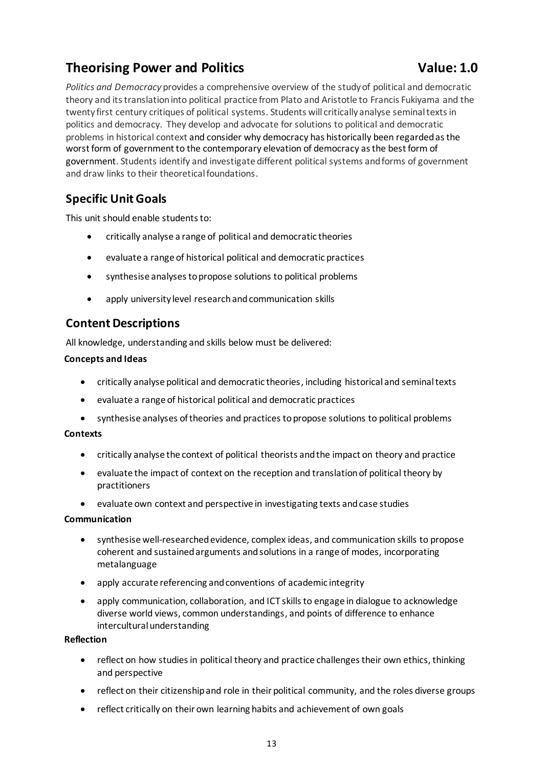## <span id="page-16-0"></span>**Theorising Power and Politics <b>Value: 1.0** Value: 1.0

*Politics and Democracy* provides a comprehensive overview of the study of political and democratic theory and its translation into political practice from Plato and Aristotle to Francis Fukiyama and the twenty first century critiques of political systems. Students will critically analyse seminal texts in politics and democracy. They develop and advocate for solutions to political and democratic problems in historical context and consider why democracy has historically been regarded as the worst form of government to the contemporary elevation of democracy as the best form of government. Students identify and investigate different political systems and forms of government and draw links to their theoretical foundations.

### **Specific Unit Goals**

This unit should enable students to:

- critically analyse a range of political and democratic theories
- evaluate a range of historical political and democratic practices
- synthesise analyses to propose solutions to political problems
- apply university level research and communication skills

### **Content Descriptions**

All knowledge, understanding and skills below must be delivered:

#### **Concepts and Ideas**

- critically analyse political and democratic theories, including historical and seminal texts
- evaluate a range of historical political and democratic practices
- synthesise analyses of theories and practices to propose solutions to political problems

#### **Contexts**

- critically analyse the context of political theorists and the impact on theory and practice
- evaluate the impact of context on the reception and translation of political theory by practitioners
- evaluate own context and perspective in investigating texts and case studies

#### **Communication**

- synthesise well-researched evidence, complex ideas, and communication skills to propose coherent and sustained arguments and solutions in a range of modes, incorporating metalanguage
- apply accurate referencing and conventions of academic integrity
- apply communication, collaboration, and ICT skills to engage in dialogue to acknowledge diverse world views, common understandings, and points of difference to enhance intercultural understanding

#### **Reflection**

- reflect on how studies in political theory and practice challenges their own ethics, thinking and perspective
- reflect on their citizenship and role in their political community, and the roles diverse groups
- reflect critically on their own learning habits and achievement of own goals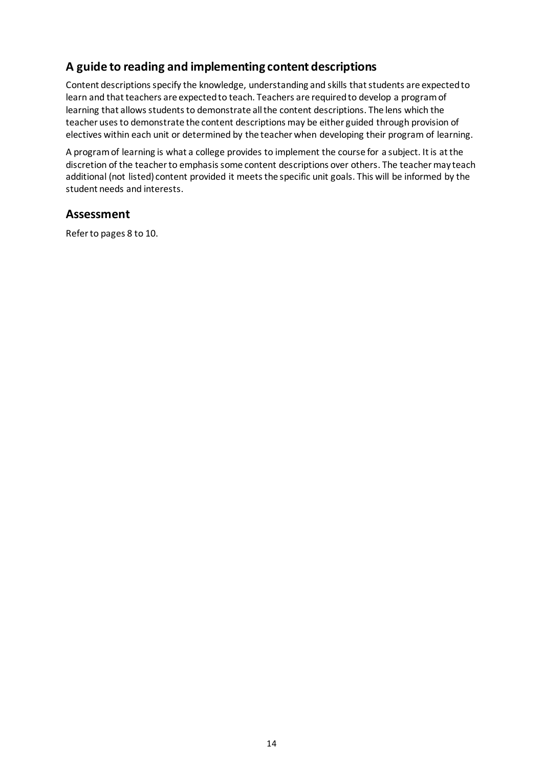### **A guide to reading and implementing content descriptions**

Content descriptions specify the knowledge, understanding and skills that students are expected to learn and that teachers are expected to teach. Teachers are required to develop a program of learning that allows students to demonstrate all the content descriptions. The lens which the teacher uses to demonstrate the content descriptions may be either guided through provision of electives within each unit or determined by the teacher when developing their program of learning.

A program of learning is what a college provides to implement the course for a subject. It is at the discretion of the teacher to emphasis some content descriptions over others. The teacher may teach additional (not listed) content provided it meets the specific unit goals. This will be informed by the student needs and interests.

#### **Assessment**

Refer to pages 8 to 10.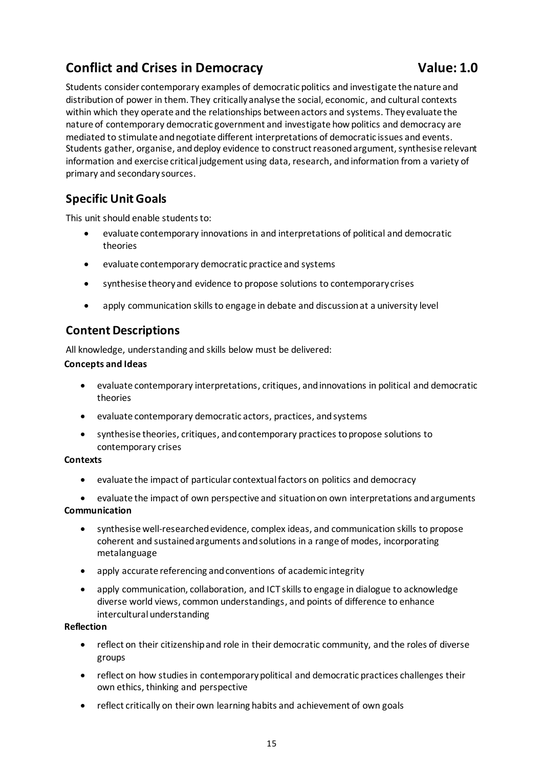## <span id="page-18-0"></span>**Conflict and Crises in Democracy <b>Value: 1.0** Value: 1.0

Students consider contemporary examples of democratic politics and investigate the nature and distribution of power in them. They critically analyse the social, economic, and cultural contexts within which they operate and the relationships between actors and systems. They evaluate the nature of contemporary democratic government and investigate how politics and democracy are mediated to stimulate and negotiate different interpretations of democratic issues and events. Students gather, organise, and deploy evidence to construct reasoned argument, synthesise relevant information and exercise critical judgement using data, research, and information from a variety of primary and secondary sources.

### **Specific Unit Goals**

This unit should enable students to:

- evaluate contemporary innovations in and interpretations of political and democratic theories
- evaluate contemporary democratic practice and systems
- synthesise theory and evidence to propose solutions to contemporary crises
- apply communication skills to engage in debate and discussion at a university level

### **Content Descriptions**

All knowledge, understanding and skills below must be delivered:

#### **Concepts and Ideas**

- evaluate contemporary interpretations, critiques, and innovations in political and democratic theories
- evaluate contemporary democratic actors, practices, and systems
- synthesise theories, critiques, and contemporary practices to propose solutions to contemporary crises

#### **Contexts**

• evaluate the impact of particular contextual factors on politics and democracy

• evaluate the impact of own perspective and situation on own interpretations and arguments **Communication**

- synthesise well-researched evidence, complex ideas, and communication skills to propose coherent and sustained arguments and solutions in a range of modes, incorporating metalanguage
- apply accurate referencing and conventions of academic integrity
- apply communication, collaboration, and ICT skills to engage in dialogue to acknowledge diverse world views, common understandings, and points of difference to enhance intercultural understanding

#### **Reflection**

- reflect on their citizenship and role in their democratic community, and the roles of diverse groups
- reflect on how studies in contemporary political and democratic practices challenges their own ethics, thinking and perspective
- reflect critically on their own learning habits and achievement of own goals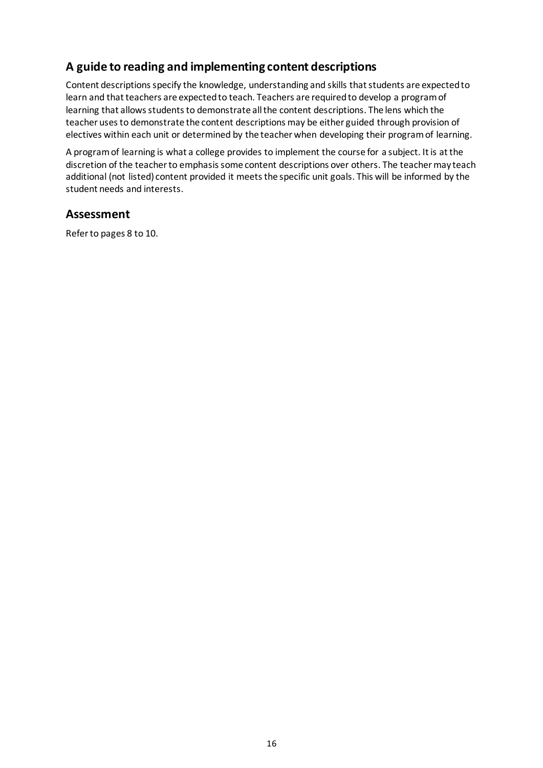### **A guide to reading and implementing content descriptions**

Content descriptions specify the knowledge, understanding and skills that students are expected to learn and that teachers are expected to teach. Teachers are required to develop a program of learning that allows students to demonstrate all the content descriptions. The lens which the teacher uses to demonstrate the content descriptions may be either guided through provision of electives within each unit or determined by the teacher when developing their program of learning.

A program of learning is what a college provides to implement the course for a subject. It is at the discretion of the teacher to emphasis some content descriptions over others. The teacher may teach additional (not listed) content provided it meets the specific unit goals. This will be informed by the student needs and interests.

#### **Assessment**

Refer to pages 8 to 10.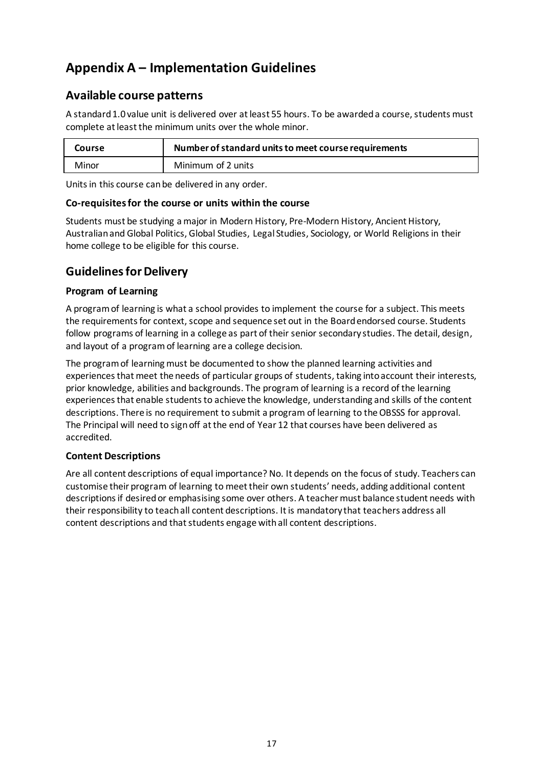## <span id="page-20-0"></span>**Appendix A – Implementation Guidelines**

### **Available course patterns**

A standard 1.0 value unit is delivered over at least 55 hours. To be awarded a course, students must complete at least the minimum units over the whole minor.

| Course | Number of standard units to meet course requirements |  |
|--------|------------------------------------------------------|--|
| Minor  | Minimum of 2 units                                   |  |

Units in this course can be delivered in any order.

#### **Co-requisites for the course or units within the course**

Students must be studying a major in Modern History, Pre-Modern History, Ancient History, Australian and Global Politics, Global Studies, Legal Studies, Sociology, or World Religions in their home college to be eligible for this course.

### **Guidelines for Delivery**

#### **Program of Learning**

A program of learning is what a school provides to implement the course for a subject. This meets the requirements for context, scope and sequence set out in the Board endorsed course. Students follow programs of learning in a college as part of their senior secondary studies. The detail, design, and layout of a programof learning are a college decision.

The program of learning must be documented to show the planned learning activities and experiences that meet the needs of particular groups of students, taking into account their interests, prior knowledge, abilities and backgrounds. The program of learning is a record of the learning experiences that enable students to achieve the knowledge, understanding and skills of the content descriptions. There is no requirement to submit a program of learning to the OBSSS for approval. The Principal will need to sign off at the end of Year 12 that courses have been delivered as accredited.

#### **Content Descriptions**

Are all content descriptions of equal importance? No. It depends on the focus of study. Teachers can customise their program of learning to meet their own students' needs, adding additional content descriptions if desired or emphasising some over others. A teacher must balance student needs with their responsibility to teach all content descriptions. It is mandatory that teachers address all content descriptions and that students engage with all content descriptions.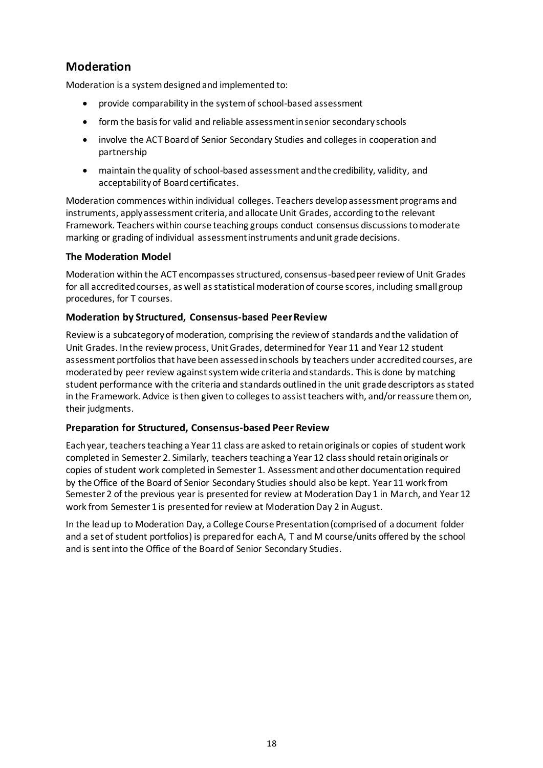### **Moderation**

Moderation is a system designed and implemented to:

- provide comparability in the system of school-based assessment
- form the basis for valid and reliable assessment in senior secondary schools
- involve the ACT Board of Senior Secondary Studies and colleges in cooperation and partnership
- maintain the quality of school-based assessment and the credibility, validity, and acceptability of Board certificates.

Moderation commences within individual colleges. Teachers develop assessment programs and instruments, apply assessment criteria, and allocate Unit Grades, according to the relevant Framework. Teachers within course teaching groups conduct consensus discussions to moderate marking or grading of individual assessment instruments and unit grade decisions.

#### **The Moderation Model**

Moderation within the ACT encompasses structured, consensus-based peer review of Unit Grades for all accredited courses, as well as statistical moderation of course scores, including small group procedures, for T courses.

#### **Moderation by Structured, Consensus-based Peer Review**

Review is a subcategory of moderation, comprising the review of standards and the validation of Unit Grades. In the review process, Unit Grades, determined for Year 11 and Year 12 student assessment portfolios that have been assessed in schools by teachers under accredited courses, are moderated by peer review against system wide criteria and standards. This is done by matching student performance with the criteria and standards outlined in the unit grade descriptors as stated in the Framework. Advice is then given to colleges to assist teachers with, and/or reassure them on, their judgments.

#### **Preparation for Structured, Consensus-based Peer Review**

Each year, teachers teaching a Year 11 class are asked to retain originals or copies of student work completed in Semester 2. Similarly, teachers teaching a Year 12 class should retain originals or copies of student work completed in Semester 1. Assessment and other documentation required by the Office of the Board of Senior Secondary Studies should also be kept. Year 11 work from Semester 2 of the previous year is presented for review at Moderation Day 1 in March, and Year 12 work from Semester 1 is presented for review at Moderation Day 2 in August.

In the lead up to Moderation Day, a College Course Presentation (comprised of a document folder and a set of student portfolios) is prepared for each A, T and M course/units offered by the school and is sent into the Office of the Board of Senior Secondary Studies.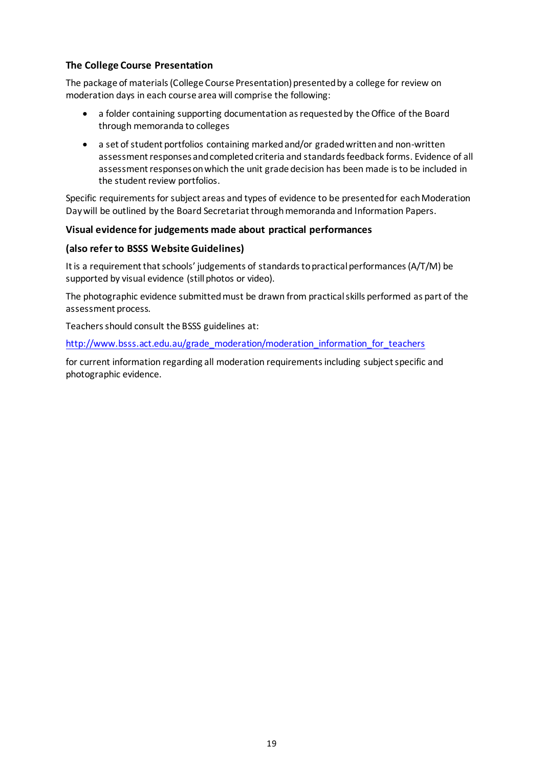#### **The College Course Presentation**

The package of materials (College Course Presentation) presented by a college for review on moderation days in each course area will comprise the following:

- a folder containing supporting documentation as requested by the Office of the Board through memoranda to colleges
- a set of student portfolios containing marked and/or graded written and non-written assessment responses and completed criteria and standards feedback forms. Evidence of all assessment responses on which the unit grade decision has been made is to be included in the student review portfolios.

Specific requirements for subject areas and types of evidence to be presented for each Moderation Day will be outlined by the Board Secretariat through memoranda and Information Papers.

#### **Visual evidence for judgements made about practical performances**

#### **(also refer to BSSS Website Guidelines)**

It is a requirement that schools' judgements of standards to practical performances (A/T/M) be supported by visual evidence (still photos or video).

The photographic evidence submitted must be drawn from practical skills performed as part of the assessment process.

Teachers should consult the BSSS guidelines at:

[http://www.bsss.act.edu.au/grade\\_moderation/moderation\\_information\\_for\\_teachers](http://www.bsss.act.edu.au/grade_moderation/moderation_information_for_teachers)

for current information regarding all moderation requirements including subject specific and photographic evidence.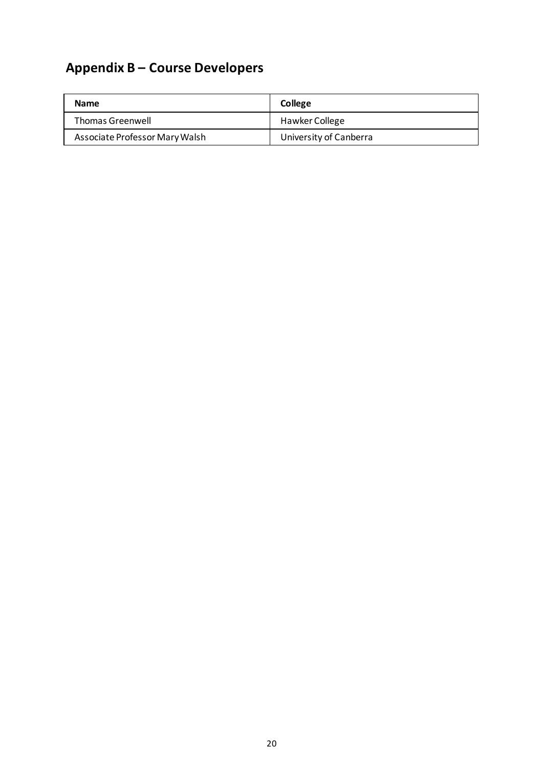# <span id="page-23-0"></span>**Appendix B – Course Developers**

| <b>Name</b>                    | College                |  |
|--------------------------------|------------------------|--|
| <b>Thomas Greenwell</b>        | <b>Hawker College</b>  |  |
| Associate Professor Mary Walsh | University of Canberra |  |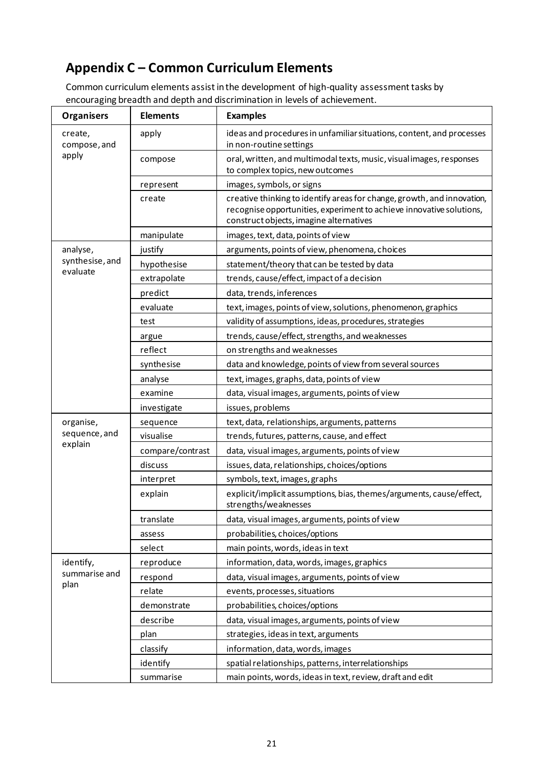## <span id="page-24-0"></span>**Appendix C – Common Curriculum Elements**

Common curriculum elements assist in the development of high-quality assessment tasks by encouraging breadth and depth and discrimination in levels of achievement.

| <b>Organisers</b>       | <b>Elements</b>  | <b>Examples</b>                                                                                                                                                                            |  |
|-------------------------|------------------|--------------------------------------------------------------------------------------------------------------------------------------------------------------------------------------------|--|
| create,<br>compose, and | apply            | ideas and procedures in unfamiliar situations, content, and processes<br>in non-routine settings                                                                                           |  |
| apply                   | compose          | oral, written, and multimodal texts, music, visualimages, responses<br>to complex topics, new outcomes                                                                                     |  |
|                         | represent        | images, symbols, or signs                                                                                                                                                                  |  |
|                         | create           | creative thinking to identify areas for change, growth, and innovation,<br>recognise opportunities, experiment to achieve innovative solutions,<br>construct objects, imagine alternatives |  |
|                         | manipulate       | images, text, data, points of view                                                                                                                                                         |  |
| analyse,                | justify          | arguments, points of view, phenomena, choices                                                                                                                                              |  |
| synthesise, and         | hypothesise      | statement/theory that can be tested by data                                                                                                                                                |  |
| evaluate                | extrapolate      | trends, cause/effect, impact of a decision                                                                                                                                                 |  |
|                         | predict          | data, trends, inferences                                                                                                                                                                   |  |
|                         | evaluate         | text, images, points of view, solutions, phenomenon, graphics                                                                                                                              |  |
|                         | test             | validity of assumptions, ideas, procedures, strategies                                                                                                                                     |  |
|                         | argue            | trends, cause/effect, strengths, and weaknesses                                                                                                                                            |  |
|                         | reflect          | on strengths and weaknesses                                                                                                                                                                |  |
|                         | synthesise       | data and knowledge, points of view from several sources                                                                                                                                    |  |
|                         | analyse          | text, images, graphs, data, points of view                                                                                                                                                 |  |
|                         | examine          | data, visual images, arguments, points of view                                                                                                                                             |  |
|                         | investigate      | issues, problems                                                                                                                                                                           |  |
| organise,               | sequence         | text, data, relationships, arguments, patterns                                                                                                                                             |  |
| sequence, and           | visualise        | trends, futures, patterns, cause, and effect                                                                                                                                               |  |
| explain                 | compare/contrast | data, visual images, arguments, points of view                                                                                                                                             |  |
|                         | discuss          | issues, data, relationships, choices/options                                                                                                                                               |  |
|                         | interpret        | symbols, text, images, graphs                                                                                                                                                              |  |
|                         | explain          | explicit/implicit assumptions, bias, themes/arguments, cause/effect,<br>strengths/weaknesses                                                                                               |  |
|                         | translate        | data, visual images, arguments, points of view                                                                                                                                             |  |
|                         | assess           | probabilities, choices/options                                                                                                                                                             |  |
|                         | select           | main points, words, ideas in text                                                                                                                                                          |  |
| identify,               | reproduce        | information, data, words, images, graphics                                                                                                                                                 |  |
| summarise and           | respond          | data, visual images, arguments, points of view                                                                                                                                             |  |
| plan                    | relate           | events, processes, situations                                                                                                                                                              |  |
|                         | demonstrate      | probabilities, choices/options                                                                                                                                                             |  |
|                         | describe         | data, visual images, arguments, points of view                                                                                                                                             |  |
|                         | plan             | strategies, ideas in text, arguments                                                                                                                                                       |  |
|                         | classify         | information, data, words, images                                                                                                                                                           |  |
|                         | identify         | spatial relationships, patterns, interrelationships                                                                                                                                        |  |
|                         | summarise        | main points, words, ideas in text, review, draft and edit                                                                                                                                  |  |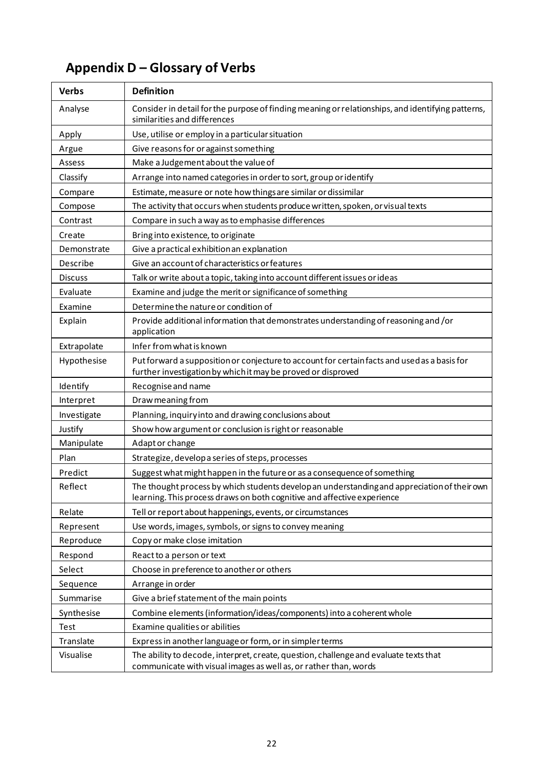# <span id="page-25-0"></span>**Appendix D – Glossary of Verbs**

| <b>Verbs</b>   | <b>Definition</b>                                                                                                                                                       |
|----------------|-------------------------------------------------------------------------------------------------------------------------------------------------------------------------|
| Analyse        | Consider in detail for the purpose of finding meaning or relationships, and identifying patterns,<br>similarities and differences                                       |
| Apply          | Use, utilise or employ in a particular situation                                                                                                                        |
| Argue          | Give reasons for or against something                                                                                                                                   |
| Assess         | Make a Judgement about the value of                                                                                                                                     |
| Classify       | Arrange into named categories in order to sort, group or identify                                                                                                       |
| Compare        | Estimate, measure or note how things are similar or dissimilar                                                                                                          |
| Compose        | The activity that occurs when students produce written, spoken, or visual texts                                                                                         |
| Contrast       | Compare in such a way as to emphasise differences                                                                                                                       |
| Create         | Bring into existence, to originate                                                                                                                                      |
| Demonstrate    | Give a practical exhibition an explanation                                                                                                                              |
| Describe       | Give an account of characteristics or features                                                                                                                          |
| <b>Discuss</b> | Talk or write about a topic, taking into account different issues or ideas                                                                                              |
| Evaluate       | Examine and judge the merit or significance of something                                                                                                                |
| Examine        | Determine the nature or condition of                                                                                                                                    |
| Explain        | Provide additional information that demonstrates understanding of reasoning and /or<br>application                                                                      |
| Extrapolate    | Infer from what is known                                                                                                                                                |
| Hypothesise    | Put forward a supposition or conjecture to account for certain facts and used as a basis for<br>further investigation by which it may be proved or disproved            |
| Identify       | Recognise and name                                                                                                                                                      |
| Interpret      | Draw meaning from                                                                                                                                                       |
| Investigate    | Planning, inquiry into and drawing conclusions about                                                                                                                    |
| Justify        | Show how argument or conclusion is right or reasonable                                                                                                                  |
| Manipulate     | Adapt or change                                                                                                                                                         |
| Plan           | Strategize, develop a series of steps, processes                                                                                                                        |
| Predict        | Suggest what might happen in the future or as a consequence of something                                                                                                |
| Reflect        | The thought process by which students develop an understanding and appreciation of their own<br>learning. This process draws on both cognitive and affective experience |
| Relate         | Tell or report about happenings, events, or circumstances                                                                                                               |
| Represent      | Use words, images, symbols, or signs to convey meaning                                                                                                                  |
| Reproduce      | Copy or make close imitation                                                                                                                                            |
| Respond        | React to a person or text                                                                                                                                               |
| Select         | Choose in preference to another or others                                                                                                                               |
| Sequence       | Arrange in order                                                                                                                                                        |
| Summarise      | Give a brief statement of the main points                                                                                                                               |
| Synthesise     | Combine elements (information/ideas/components) into a coherent whole                                                                                                   |
| Test           | Examine qualities or abilities                                                                                                                                          |
| Translate      | Express in another language or form, or in simpler terms                                                                                                                |
| Visualise      | The ability to decode, interpret, create, question, challenge and evaluate texts that<br>communicate with visual images as well as, or rather than, words               |